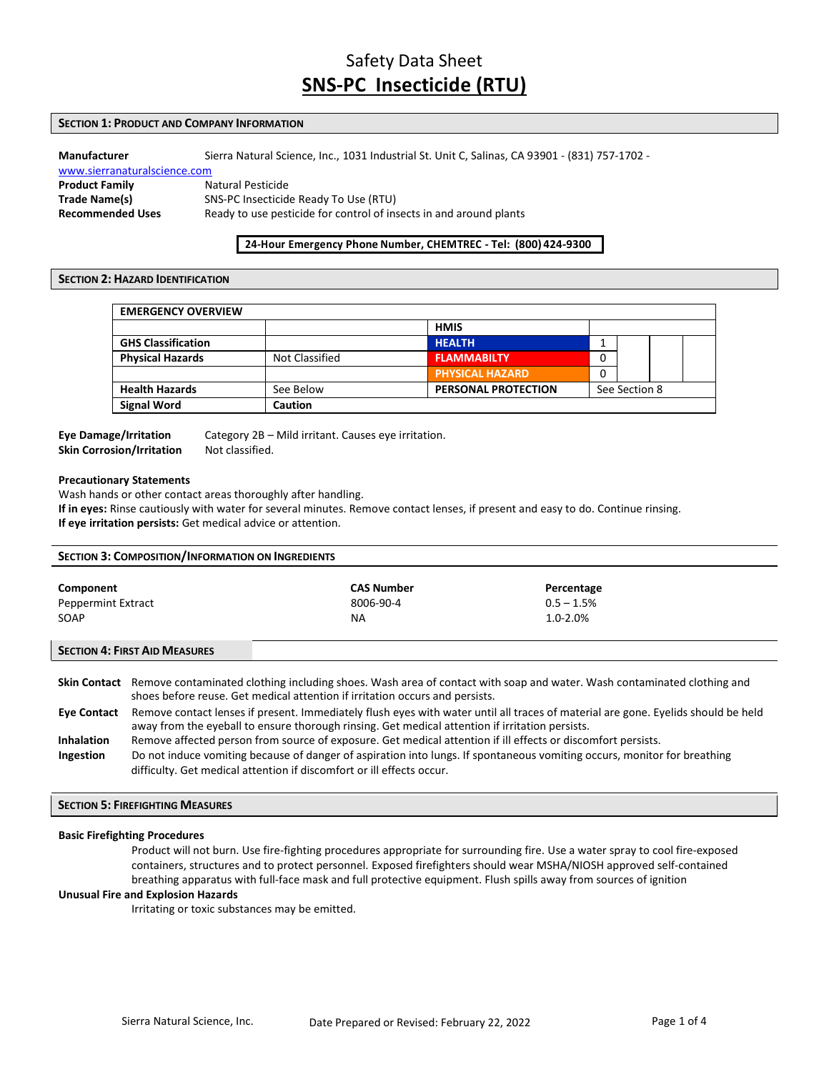# Safety Data Sheet **SNS-PC Insecticide (RTU)**

# **SECTION 1: PRODUCT AND COMPANY INFORMATION**

# **Manufacturer** Sierra Natural Science, Inc., 1031 Industrial St. Unit C, Salinas, CA 93901 - (831) 757-1702 -

www.sierranaturalscience.com **Product Family Natural Pesticide Trade Name(s)** SNS-PC Insecticide Ready To Use (RTU) **Recommended Uses** Ready to use pesticide for control of insects in and around plants

# **24-Hour Emergency Phone Number, CHEMTREC - Tel: (800) 424-9300**

### **SECTION 2: HAZARD IDENTIFICATION**

| <b>EMERGENCY OVERVIEW</b> |                       |                            |               |  |  |
|---------------------------|-----------------------|----------------------------|---------------|--|--|
|                           |                       | <b>HMIS</b>                |               |  |  |
| <b>GHS Classification</b> |                       | <b>HEALTH</b>              |               |  |  |
| <b>Physical Hazards</b>   | <b>Not Classified</b> | <b>FLAMMABILTY</b>         | 0             |  |  |
|                           |                       | <b>PHYSICAL HAZARD</b>     | 0             |  |  |
| <b>Health Hazards</b>     | See Below             | <b>PERSONAL PROTECTION</b> | See Section 8 |  |  |
| <b>Signal Word</b>        | <b>Caution</b>        |                            |               |  |  |

# **Skin Corrosion/Irritation** Not classified.

**Eye Damage/Irritation** Category 2B – Mild irritant. Causes eye irritation.

#### **Precautionary Statements**

Wash hands or other contact areas thoroughly after handling.

**If in eyes:** Rinse cautiously with water for several minutes. Remove contact lenses, if present and easy to do. Continue rinsing. **If eye irritation persists:** Get medical advice or attention.

| <b>SECTION 3: COMPOSITION/INFORMATION ON INGREDIENTS</b> |                                                                                                                                                                                                                                                                                                                   |                                       |                                             |  |
|----------------------------------------------------------|-------------------------------------------------------------------------------------------------------------------------------------------------------------------------------------------------------------------------------------------------------------------------------------------------------------------|---------------------------------------|---------------------------------------------|--|
| Component<br>Peppermint Extract<br>SOAP                  |                                                                                                                                                                                                                                                                                                                   | <b>CAS Number</b><br>8006-90-4<br>NA. | Percentage<br>$0.5 - 1.5%$<br>$1.0 - 2.0\%$ |  |
| <b>SECTION 4: FIRST AID MEASURES</b>                     |                                                                                                                                                                                                                                                                                                                   |                                       |                                             |  |
|                                                          | Skin Contact Remove contaminated clothing including shoes. Wash area of contact with soap and water. Wash contaminated clothing and<br>shoes before reuse. Get medical attention if irritation occurs and persists.                                                                                               |                                       |                                             |  |
| <b>Eve Contact</b>                                       | Remove contact lenses if present. Immediately flush eyes with water until all traces of material are gone. Eyelids should be held<br>away from the eyeball to ensure thorough rinsing. Get medical attention if irritation persists.                                                                              |                                       |                                             |  |
| <b>Inhalation</b><br>Ingestion                           | Remove affected person from source of exposure. Get medical attention if ill effects or discomfort persists.<br>Do not induce vomiting because of danger of aspiration into lungs. If spontaneous vomiting occurs, monitor for breathing<br>difficulty. Get medical attention if discomfort or ill effects occur. |                                       |                                             |  |

# **SECTION 5: FIREFIGHTING MEASURES**

#### **Basic Firefighting Procedures**

Product will not burn. Use fire-fighting procedures appropriate for surrounding fire. Use a water spray to cool fire-exposed containers, structures and to protect personnel. Exposed firefighters should wear MSHA/NIOSH approved self-contained breathing apparatus with full-face mask and full protective equipment. Flush spills away from sources of ignition

# **Unusual Fire and Explosion Hazards**

Irritating or toxic substances may be emitted.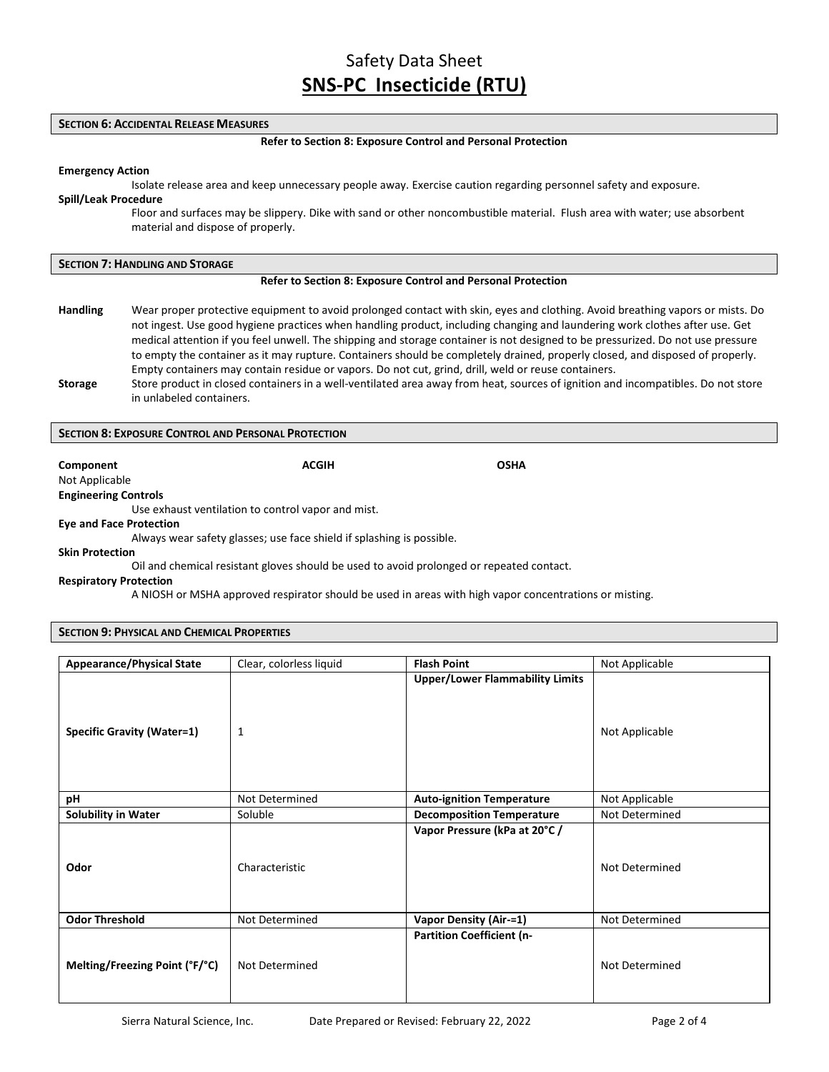## **SECTION 6: ACCIDENTAL RELEASE MEASURES**

#### **Refer to Section 8: Exposure Control and Personal Protection**

#### **Emergency Action**

Isolate release area and keep unnecessary people away. Exercise caution regarding personnel safety and exposure.

# **Spill/Leak Procedure**

Floor and surfaces may be slippery. Dike with sand or other noncombustible material. Flush area with water; use absorbent material and dispose of properly.

#### **SECTION 7: HANDLING AND STORAGE**

#### **Refer to Section 8: Exposure Control and Personal Protection**

- **Handling** Wear proper protective equipment to avoid prolonged contact with skin, eyes and clothing. Avoid breathing vapors or mists. Do not ingest. Use good hygiene practices when handling product, including changing and laundering work clothes after use. Get medical attention if you feel unwell. The shipping and storage container is not designed to be pressurized. Do not use pressure to empty the container as it may rupture. Containers should be completely drained, properly closed, and disposed of properly. Empty containers may contain residue or vapors. Do not cut, grind, drill, weld or reuse containers.
- **Storage** Store product in closed containers in a well-ventilated area away from heat, sources of ignition and incompatibles. Do not store in unlabeled containers.

## **SECTION 8: EXPOSURE CONTROL AND PERSONAL PROTECTION**

**Component ACGIH OSHA**

Not Applicable

**Engineering Controls** Use exhaust ventilation to control vapor and mist.

#### **Eye and Face Protection**

Always wear safety glasses; use face shield if splashing is possible.

## **Skin Protection**

Oil and chemical resistant gloves should be used to avoid prolonged or repeated contact.

#### **Respiratory Protection**

A NIOSH or MSHA approved respirator should be used in areas with high vapor concentrations or misting.

## **SECTION 9: PHYSICAL AND CHEMICAL PROPERTIES**

| <b>Appearance/Physical State</b>  | Clear, colorless liquid | <b>Flash Point</b>                     | Not Applicable |
|-----------------------------------|-------------------------|----------------------------------------|----------------|
| <b>Specific Gravity (Water=1)</b> | 1                       | <b>Upper/Lower Flammability Limits</b> | Not Applicable |
| рH                                | Not Determined          | <b>Auto-ignition Temperature</b>       | Not Applicable |
| <b>Solubility in Water</b>        | Soluble                 | <b>Decomposition Temperature</b>       | Not Determined |
| Odor                              | Characteristic          | Vapor Pressure (kPa at 20°C /          | Not Determined |
| <b>Odor Threshold</b>             | Not Determined          | <b>Vapor Density (Air-=1)</b>          | Not Determined |
| Melting/Freezing Point (°F/°C)    | Not Determined          | <b>Partition Coefficient (n-</b>       | Not Determined |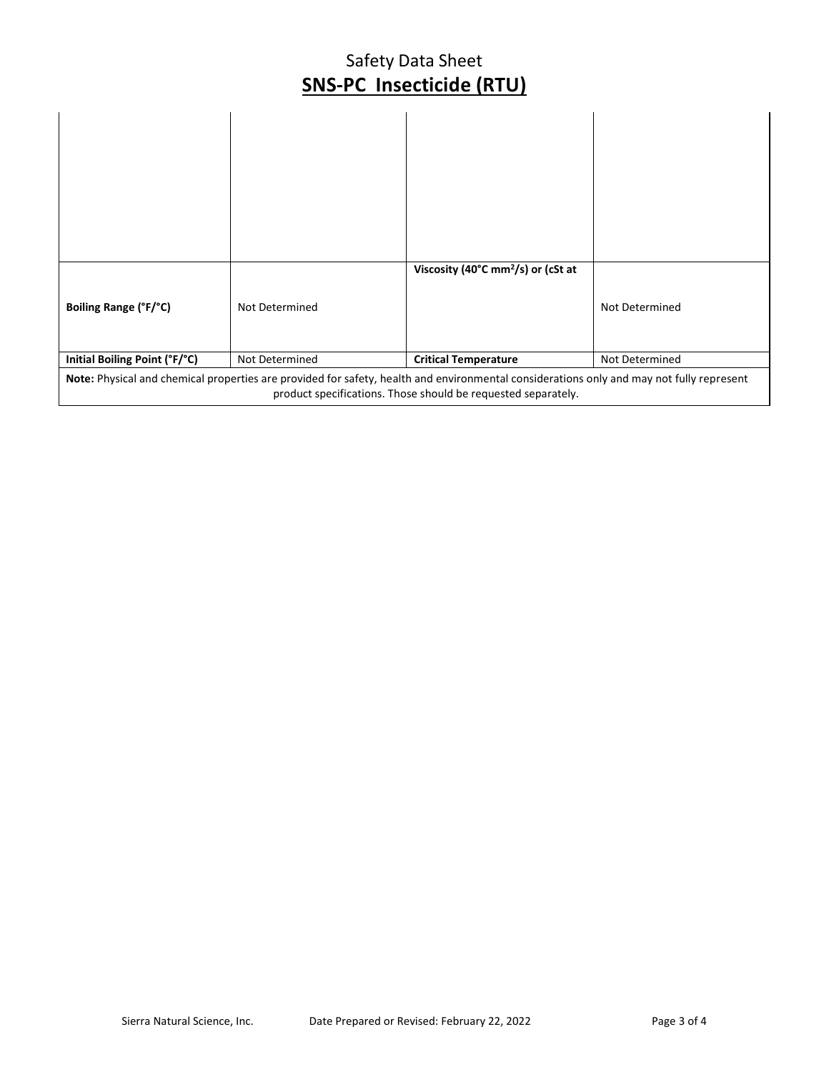# Safety Data Sheet **SNS-PC Insecticide (RTU)**

| Boiling Range (°F/°C)                                                                                                                                                                                     | Not Determined | Viscosity (40°C mm <sup>2</sup> /s) or (cSt at | Not Determined |
|-----------------------------------------------------------------------------------------------------------------------------------------------------------------------------------------------------------|----------------|------------------------------------------------|----------------|
| Initial Boiling Point (°F/°C)                                                                                                                                                                             | Not Determined | <b>Critical Temperature</b>                    | Not Determined |
| Note: Physical and chemical properties are provided for safety, health and environmental considerations only and may not fully represent<br>product specifications. Those should be requested separately. |                |                                                |                |